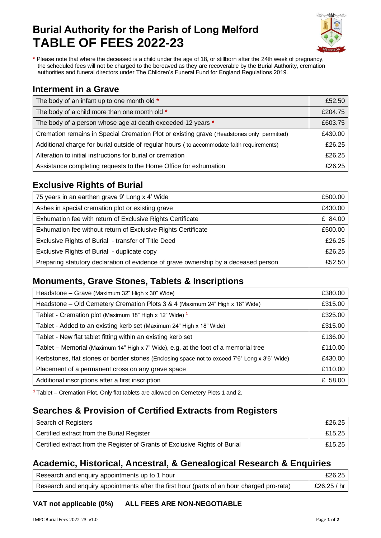# **Burial Authority for the Parish of Long Melford TABLE OF FEES 2022-23**



**\*** Please note that where the deceased is a child under the age of 18, or stillborn after the 24th week of pregnancy, the scheduled fees will not be charged to the bereaved as they are recoverable by the Burial Authority, cremation authorities and funeral directors under The Children's Funeral Fund for England Regulations 2019.

#### **Interment in a Grave**

| The body of an infant up to one month old *                                               | £52.50  |
|-------------------------------------------------------------------------------------------|---------|
| The body of a child more than one month old *                                             | £204.75 |
| The body of a person whose age at death exceeded 12 years *                               | £603.75 |
| Cremation remains in Special Cremation Plot or existing grave (Headstones only permitted) | £430.00 |
| Additional charge for burial outside of regular hours (to accommodate faith requirements) | £26.25  |
| Alteration to initial instructions for burial or cremation                                | £26.25  |
| Assistance completing requests to the Home Office for exhumation                          | £26,25  |

## **Exclusive Rights of Burial**

| 75 years in an earthen grave 9' Long x 4' Wide                                      | £500.00 |
|-------------------------------------------------------------------------------------|---------|
| Ashes in special cremation plot or existing grave                                   | £430.00 |
| Exhumation fee with return of Exclusive Rights Certificate                          | £ 84.00 |
| Exhumation fee without return of Exclusive Rights Certificate                       | £500.00 |
| Exclusive Rights of Burial - transfer of Title Deed                                 | £26.25  |
| Exclusive Rights of Burial - duplicate copy                                         | £26.25  |
| Preparing statutory declaration of evidence of grave ownership by a deceased person | £52.50  |

### **Monuments, Grave Stones, Tablets & Inscriptions**

| Headstone - Grave (Maximum 32" High x 30" Wide)                                                | £380.00 |
|------------------------------------------------------------------------------------------------|---------|
| Headstone - Old Cemetery Cremation Plots 3 & 4 (Maximum 24" High x 18" Wide)                   | £315.00 |
| Tablet - Cremation plot (Maximum 18" High x 12" Wide) 1                                        | £325.00 |
| Tablet - Added to an existing kerb set (Maximum 24" High x 18" Wide)                           | £315.00 |
| Tablet - New flat tablet fitting within an existing kerb set                                   | £136.00 |
| Tablet – Memorial (Maximum 14" High x 7" Wide), e.g. at the foot of a memorial tree            | £110.00 |
| Kerbstones, flat stones or border stones (Enclosing space not to exceed 7'6" Long x 3'6" Wide) | £430.00 |
| Placement of a permanent cross on any grave space                                              | £110.00 |
| Additional inscriptions after a first inscription                                              | £ 58.00 |

**<sup>1</sup>** Tablet – Cremation Plot. Only flat tablets are allowed on Cemetery Plots 1 and 2.

# **Searches & Provision of Certified Extracts from Registers**

| Search of Registers                                                         | £26.25 |
|-----------------------------------------------------------------------------|--------|
| Certified extract from the Burial Register                                  | £15.25 |
| Certified extract from the Register of Grants of Exclusive Rights of Burial | £15.25 |

### **Academic, Historical, Ancestral, & Genealogical Research & Enquiries**

| Research and enquiry appointments up to 1 hour                                             | £26.25      |
|--------------------------------------------------------------------------------------------|-------------|
| Research and enquiry appointments after the first hour (parts of an hour charged pro-rata) | £26.25 / hr |

**VAT not applicable (0%) ALL FEES ARE NON-NEGOTIABLE**